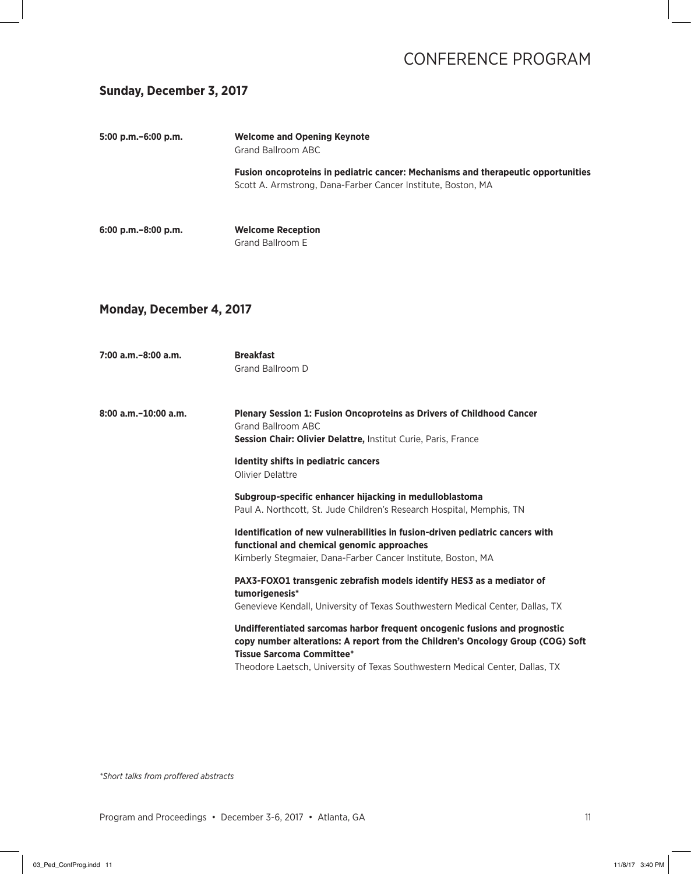### **Sunday, December 3, 2017**

| 5:00 p.m.-6:00 p.m.             | <b>Welcome and Opening Keynote</b><br><b>Grand Ballroom ABC</b>                                                                                                                                   |
|---------------------------------|---------------------------------------------------------------------------------------------------------------------------------------------------------------------------------------------------|
|                                 | Fusion oncoproteins in pediatric cancer: Mechanisms and therapeutic opportunities<br>Scott A. Armstrong, Dana-Farber Cancer Institute, Boston, MA                                                 |
| 6:00 p.m.-8:00 p.m.             | <b>Welcome Reception</b><br>Grand Ballroom E                                                                                                                                                      |
| <b>Monday, December 4, 2017</b> |                                                                                                                                                                                                   |
| 7:00 a.m.–8:00 a.m.             | <b>Breakfast</b><br>Grand Ballroom D                                                                                                                                                              |
| 8:00 a.m.-10:00 a.m.            | <b>Plenary Session 1: Fusion Oncoproteins as Drivers of Childhood Cancer</b><br>Grand Ballroom ABC<br>Session Chair: Olivier Delattre, Institut Curie, Paris, France                              |
|                                 | Identity shifts in pediatric cancers<br>Olivier Delattre                                                                                                                                          |
|                                 | Subgroup-specific enhancer hijacking in medulloblastoma<br>Paul A. Northcott, St. Jude Children's Research Hospital, Memphis, TN                                                                  |
|                                 | Identification of new vulnerabilities in fusion-driven pediatric cancers with<br>functional and chemical genomic approaches<br>Kimberly Stegmaier, Dana-Farber Cancer Institute, Boston, MA       |
|                                 | PAX3-FOXO1 transgenic zebrafish models identify HES3 as a mediator of<br>tumorigenesis*<br>Genevieve Kendall, University of Texas Southwestern Medical Center, Dallas, TX                         |
|                                 | Undifferentiated sarcomas harbor frequent oncogenic fusions and prognostic<br>copy number alterations: A report from the Children's Oncology Group (COG) Soft<br><b>Tissue Sarcoma Committee*</b> |
|                                 | Theodore Laetsch, University of Texas Southwestern Medical Center, Dallas, TX                                                                                                                     |
|                                 |                                                                                                                                                                                                   |

*\*Short talks from proffered abstracts*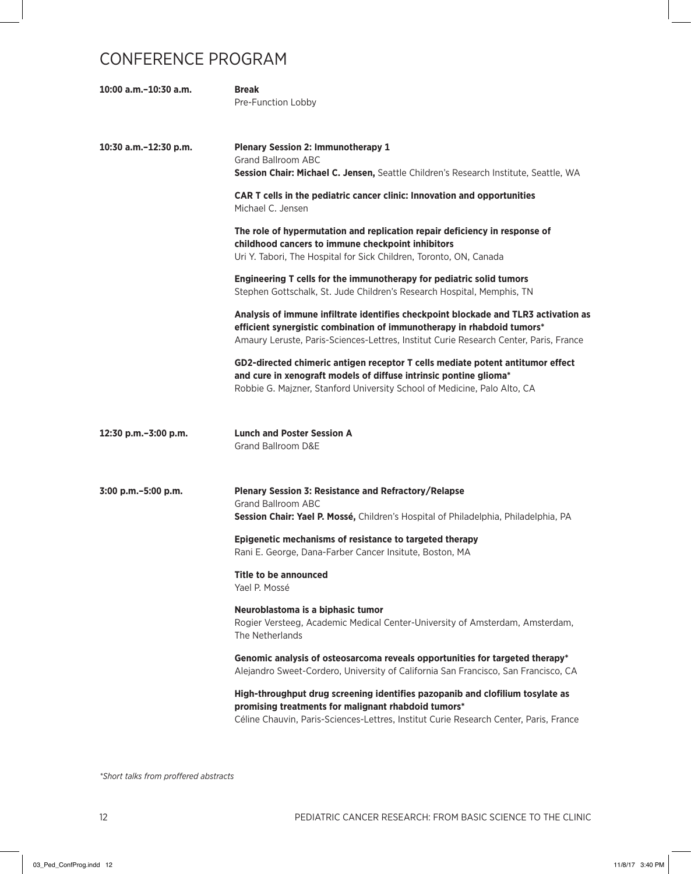| 10:00 a.m.-10:30 a.m. | <b>Break</b><br>Pre-Function Lobby                                                                                                                                                                                                                     |
|-----------------------|--------------------------------------------------------------------------------------------------------------------------------------------------------------------------------------------------------------------------------------------------------|
| 10:30 a.m.-12:30 p.m. | <b>Plenary Session 2: Immunotherapy 1</b><br><b>Grand Ballroom ABC</b><br>Session Chair: Michael C. Jensen, Seattle Children's Research Institute, Seattle, WA                                                                                         |
|                       | CAR T cells in the pediatric cancer clinic: Innovation and opportunities<br>Michael C. Jensen                                                                                                                                                          |
|                       | The role of hypermutation and replication repair deficiency in response of<br>childhood cancers to immune checkpoint inhibitors<br>Uri Y. Tabori, The Hospital for Sick Children, Toronto, ON, Canada                                                  |
|                       | Engineering T cells for the immunotherapy for pediatric solid tumors<br>Stephen Gottschalk, St. Jude Children's Research Hospital, Memphis, TN                                                                                                         |
|                       | Analysis of immune infiltrate identifies checkpoint blockade and TLR3 activation as<br>efficient synergistic combination of immunotherapy in rhabdoid tumors*<br>Amaury Leruste, Paris-Sciences-Lettres, Institut Curie Research Center, Paris, France |
|                       | GD2-directed chimeric antigen receptor T cells mediate potent antitumor effect<br>and cure in xenograft models of diffuse intrinsic pontine glioma*<br>Robbie G. Majzner, Stanford University School of Medicine, Palo Alto, CA                        |
| 12:30 p.m.-3:00 p.m.  | <b>Lunch and Poster Session A</b><br><b>Grand Ballroom D&amp;E</b>                                                                                                                                                                                     |
| 3:00 p.m. - 5:00 p.m. | <b>Plenary Session 3: Resistance and Refractory/Relapse</b><br><b>Grand Ballroom ABC</b><br>Session Chair: Yael P. Mossé, Children's Hospital of Philadelphia, Philadelphia, PA                                                                        |
|                       | Epigenetic mechanisms of resistance to targeted therapy<br>Rani E. George, Dana-Farber Cancer Insitute, Boston, MA                                                                                                                                     |
|                       | Title to be announced<br>Yael P. Mossé                                                                                                                                                                                                                 |
|                       | Neuroblastoma is a biphasic tumor<br>Rogier Versteeg, Academic Medical Center-University of Amsterdam, Amsterdam,<br>The Netherlands                                                                                                                   |
|                       | Genomic analysis of osteosarcoma reveals opportunities for targeted therapy*<br>Alejandro Sweet-Cordero, University of California San Francisco, San Francisco, CA                                                                                     |
|                       | High-throughput drug screening identifies pazopanib and clofilium tosylate as<br>promising treatments for malignant rhabdoid tumors*<br>Céline Chauvin, Paris-Sciences-Lettres, Institut Curie Research Center, Paris, France                          |

*\*Short talks from proffered abstracts*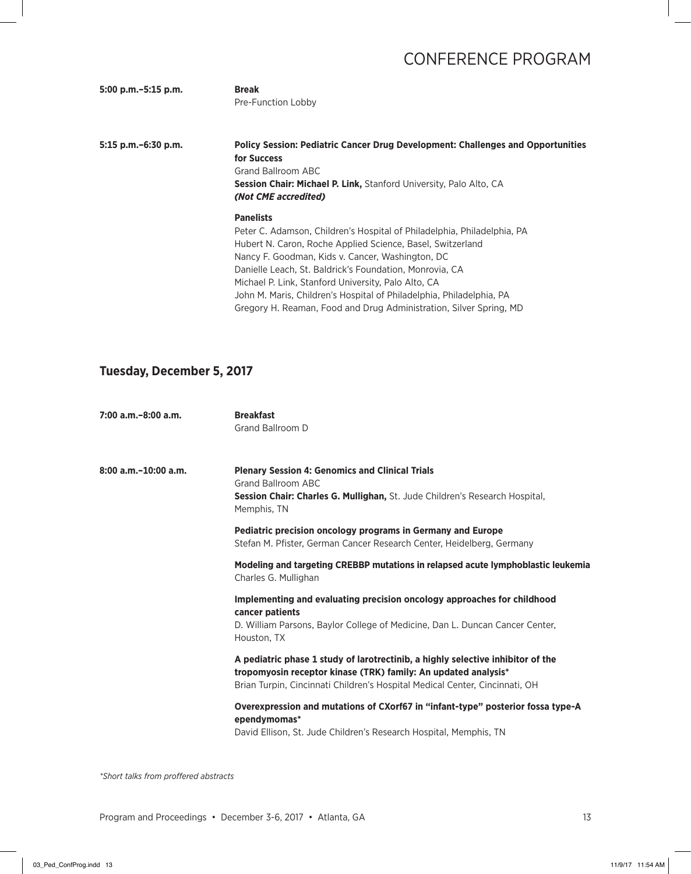| 5:00 p.m. - 5:15 p.m. | <b>Break</b>       |
|-----------------------|--------------------|
|                       | Pre-Function Lobby |

**5:15 p.m.–6:30 p.m. Policy Session: Pediatric Cancer Drug Development: Challenges and Opportunities for Success**  Grand Ballroom ABC **Session Chair: Michael P. Link,** Stanford University, Palo Alto, CA *(Not CME accredited)* **Panelists**

Peter C. Adamson, Children's Hospital of Philadelphia, Philadelphia, PA Hubert N. Caron, Roche Applied Science, Basel, Switzerland Nancy F. Goodman, Kids v. Cancer, Washington, DC Danielle Leach, St. Baldrick's Foundation, Monrovia, CA Michael P. Link, Stanford University, Palo Alto, CA John M. Maris, Children's Hospital of Philadelphia, Philadelphia, PA Gregory H. Reaman, Food and Drug Administration, Silver Spring, MD

#### **Tuesday, December 5, 2017**

| 7:00 a.m.-8:00 a.m.       | <b>Breakfast</b><br>Grand Ballroom D                                                                                                                                                                                             |
|---------------------------|----------------------------------------------------------------------------------------------------------------------------------------------------------------------------------------------------------------------------------|
| $8:00$ a.m. $-10:00$ a.m. | <b>Plenary Session 4: Genomics and Clinical Trials</b><br>Grand Ballroom ABC<br>Session Chair: Charles G. Mullighan, St. Jude Children's Research Hospital.<br>Memphis, TN                                                       |
|                           | <b>Pediatric precision oncology programs in Germany and Europe</b><br>Stefan M. Pfister, German Cancer Research Center, Heidelberg, Germany                                                                                      |
|                           | Modeling and targeting CREBBP mutations in relapsed acute lymphoblastic leukemia<br>Charles G. Mullighan                                                                                                                         |
|                           | Implementing and evaluating precision oncology approaches for childhood<br>cancer patients<br>D. William Parsons, Baylor College of Medicine, Dan L. Duncan Cancer Center,<br>Houston, TX                                        |
|                           | A pediatric phase 1 study of larotrectinib, a highly selective inhibitor of the<br>tropomyosin receptor kinase (TRK) family: An updated analysis*<br>Brian Turpin, Cincinnati Children's Hospital Medical Center, Cincinnati, OH |
|                           | Overexpression and mutations of CXorf67 in "infant-type" posterior fossa type-A<br>ependymomas*<br>David Ellison, St. Jude Children's Research Hospital, Memphis, TN                                                             |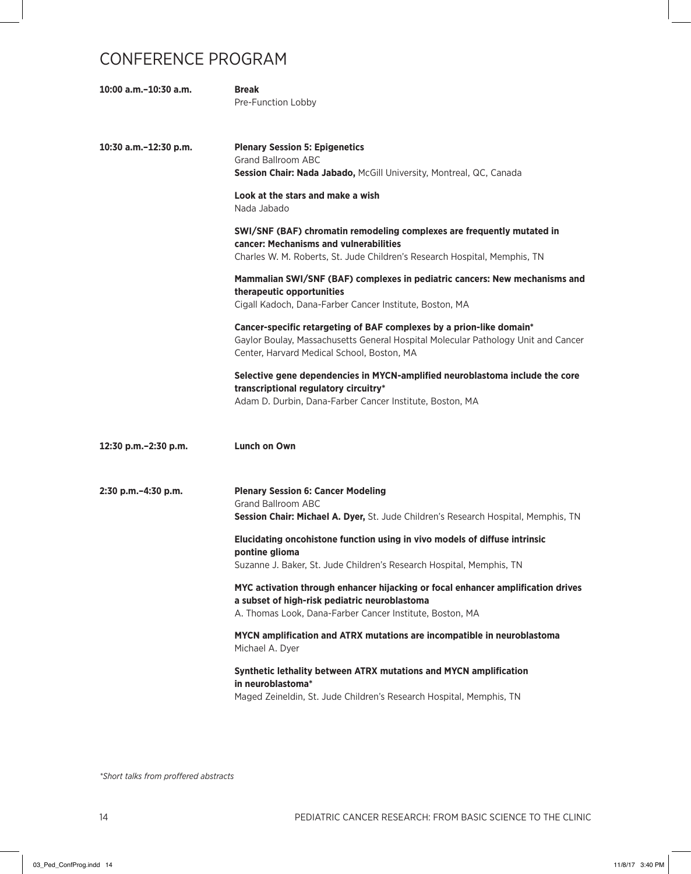| 10:00 a.m.-10:30 a.m.  | <b>Break</b><br>Pre-Function Lobby                                                                                                                                                                      |
|------------------------|---------------------------------------------------------------------------------------------------------------------------------------------------------------------------------------------------------|
| 10:30 a.m.-12:30 p.m.  | <b>Plenary Session 5: Epigenetics</b><br><b>Grand Ballroom ABC</b><br>Session Chair: Nada Jabado, McGill University, Montreal, QC, Canada                                                               |
|                        | Look at the stars and make a wish<br>Nada Jabado                                                                                                                                                        |
|                        | SWI/SNF (BAF) chromatin remodeling complexes are frequently mutated in<br>cancer: Mechanisms and vulnerabilities<br>Charles W. M. Roberts, St. Jude Children's Research Hospital, Memphis, TN           |
|                        | Mammalian SWI/SNF (BAF) complexes in pediatric cancers: New mechanisms and<br>therapeutic opportunities<br>Cigall Kadoch, Dana-Farber Cancer Institute, Boston, MA                                      |
|                        | Cancer-specific retargeting of BAF complexes by a prion-like domain*<br>Gaylor Boulay, Massachusetts General Hospital Molecular Pathology Unit and Cancer<br>Center, Harvard Medical School, Boston, MA |
|                        | Selective gene dependencies in MYCN-amplified neuroblastoma include the core<br>transcriptional regulatory circuitry*<br>Adam D. Durbin, Dana-Farber Cancer Institute, Boston, MA                       |
| 12:30 p.m. - 2:30 p.m. | Lunch on Own                                                                                                                                                                                            |
| 2:30 p.m.-4:30 p.m.    | <b>Plenary Session 6: Cancer Modeling</b><br><b>Grand Ballroom ABC</b><br>Session Chair: Michael A. Dyer, St. Jude Children's Research Hospital, Memphis, TN                                            |
|                        | Elucidating oncohistone function using in vivo models of diffuse intrinsic<br>pontine glioma<br>Suzanne J. Baker, St. Jude Children's Research Hospital, Memphis, TN                                    |
|                        | MYC activation through enhancer hijacking or focal enhancer amplification drives<br>a subset of high-risk pediatric neuroblastoma<br>A. Thomas Look, Dana-Farber Cancer Institute, Boston, MA           |
|                        | MYCN amplification and ATRX mutations are incompatible in neuroblastoma<br>Michael A. Dyer                                                                                                              |
|                        | Synthetic lethality between ATRX mutations and MYCN amplification<br>in neuroblastoma*<br>Maged Zeineldin, St. Jude Children's Research Hospital, Memphis, TN                                           |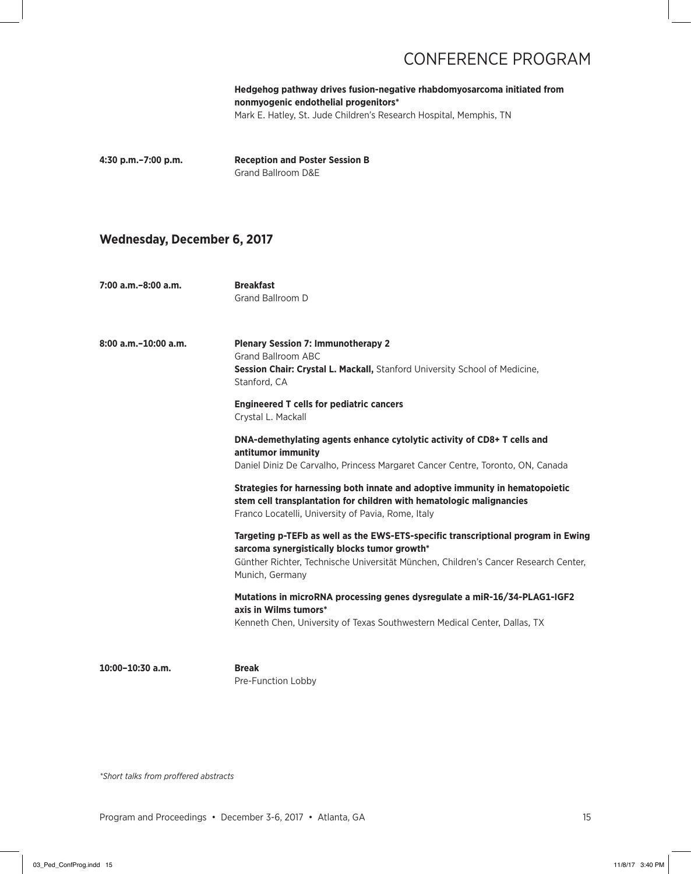**Hedgehog pathway drives fusion-negative rhabdomyosarcoma initiated from nonmyogenic endothelial progenitors\*** Mark E. Hatley, St. Jude Children's Research Hospital, Memphis, TN

**4:30 p.m.–7:00 p.m. Reception and Poster Session B** Grand Ballroom D&E

#### **Wednesday, December 6, 2017**

**7:00 a.m.–8:00 a.m. Breakfast** Grand Ballroom D

**8:00 a.m.–10:00 a.m. Plenary Session 7: Immunotherapy 2** Grand Ballroom ABC **Session Chair: Crystal L. Mackall,** Stanford University School of Medicine, Stanford, CA

> **Engineered T cells for pediatric cancers** Crystal L. Mackall

 **DNA-demethylating agents enhance cytolytic activity of CD8+ T cells and antitumor immunity** 

Daniel Diniz De Carvalho, Princess Margaret Cancer Centre, Toronto, ON, Canada

 **Strategies for harnessing both innate and adoptive immunity in hematopoietic stem cell transplantation for children with hematologic malignancies** Franco Locatelli, University of Pavia, Rome, Italy

 **Targeting p-TEFb as well as the EWS-ETS-specific transcriptional program in Ewing sarcoma synergistically blocks tumor growth\*** Günther Richter, Technische Universität München, Children's Cancer Research Center, Munich, Germany

 **Mutations in microRNA processing genes dysregulate a miR-16/34-PLAG1-IGF2 axis in Wilms tumors\***

Kenneth Chen, University of Texas Southwestern Medical Center, Dallas, TX

**10:00–10:30 a.m. Break**

Pre-Function Lobby

*\*Short talks from proffered abstracts*